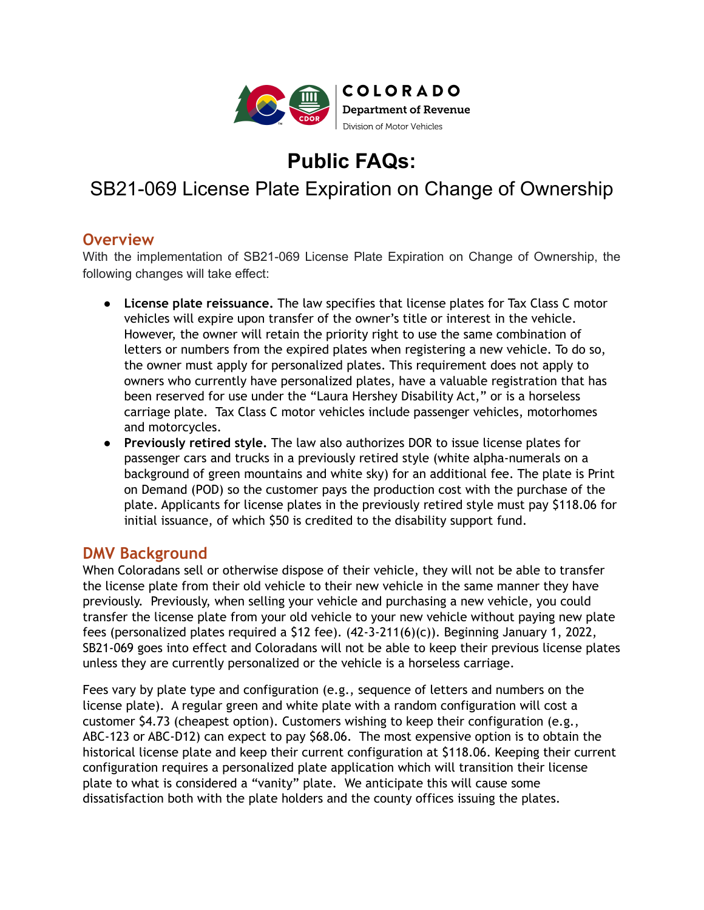

**Public FAQs:**

# SB21-069 License Plate Expiration on Change of Ownership

### **Overview**

With the implementation of SB21-069 License Plate Expiration on Change of Ownership, the following changes will take effect:

- **License plate reissuance.** The law specifies that license plates for Tax Class C motor vehicles will expire upon transfer of the owner's title or interest in the vehicle. However, the owner will retain the priority right to use the same combination of letters or numbers from the expired plates when registering a new vehicle. To do so, the owner must apply for personalized plates. This requirement does not apply to owners who currently have personalized plates, have a valuable registration that has been reserved for use under the "Laura Hershey Disability Act," or is a horseless carriage plate. Tax Class C motor vehicles include passenger vehicles, motorhomes and motorcycles.
- **Previously retired style.** The law also authorizes DOR to issue license plates for passenger cars and trucks in a previously retired style (white alpha-numerals on a background of green mountains and white sky) for an additional fee. The plate is Print on Demand (POD) so the customer pays the production cost with the purchase of the plate. Applicants for license plates in the previously retired style must pay \$118.06 for initial issuance, of which \$50 is credited to the disability support fund.

### **DMV Background**

When Coloradans sell or otherwise dispose of their vehicle, they will not be able to transfer the license plate from their old vehicle to their new vehicle in the same manner they have previously. Previously, when selling your vehicle and purchasing a new vehicle, you could transfer the license plate from your old vehicle to your new vehicle without paying new plate fees (personalized plates required a \$12 fee). (42-3-211(6)(c)). Beginning January 1, 2022, SB21-069 goes into effect and Coloradans will not be able to keep their previous license plates unless they are currently personalized or the vehicle is a horseless carriage.

Fees vary by plate type and configuration (e.g., sequence of letters and numbers on the license plate). A regular green and white plate with a random configuration will cost a customer \$4.73 (cheapest option). Customers wishing to keep their configuration (e.g., ABC-123 or ABC-D12) can expect to pay \$68.06. The most expensive option is to obtain the historical license plate and keep their current configuration at \$118.06. Keeping their current configuration requires a personalized plate application which will transition their license plate to what is considered a "vanity" plate. We anticipate this will cause some dissatisfaction both with the plate holders and the county offices issuing the plates.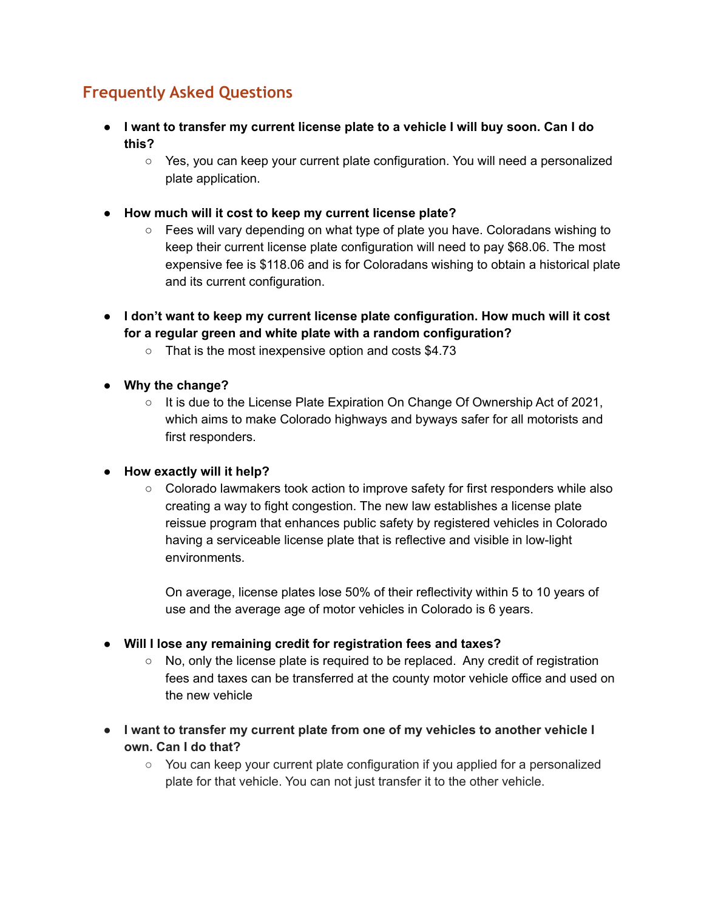## **Frequently Asked Questions**

- **● I want to transfer my current license plate to a vehicle I will buy soon. Can I do this?**
	- Yes, you can keep your current plate configuration. You will need a personalized plate application.
- **● How much will it cost to keep my current license plate?**
	- Fees will vary depending on what type of plate you have. Coloradans wishing to keep their current license plate configuration will need to pay \$68.06. The most expensive fee is \$118.06 and is for Coloradans wishing to obtain a historical plate and its current configuration.
- **● I don't want to keep my current license plate configuration. How much will it cost for a regular green and white plate with a random configuration?**
	- That is the most inexpensive option and costs \$4.73
- **● Why the change?**
	- It is due to the License Plate Expiration On Change Of Ownership Act of 2021, which aims to make Colorado highways and byways safer for all motorists and first responders.

#### **● How exactly will it help?**

○ Colorado lawmakers took action to improve safety for first responders while also creating a way to fight congestion. The new law establishes a license plate reissue program that enhances public safety by registered vehicles in Colorado having a serviceable license plate that is reflective and visible in low-light environments.

On average, license plates lose 50% of their reflectivity within 5 to 10 years of use and the average age of motor vehicles in Colorado is 6 years.

- **Will I lose any remaining credit for registration fees and taxes?**
	- $\circ$  No, only the license plate is required to be replaced. Any credit of registration fees and taxes can be transferred at the county motor vehicle office and used on the new vehicle
- **I want to transfer my current plate from one of my vehicles to another vehicle I own. Can I do that?**
	- You can keep your current plate configuration if you applied for a personalized plate for that vehicle. You can not just transfer it to the other vehicle.